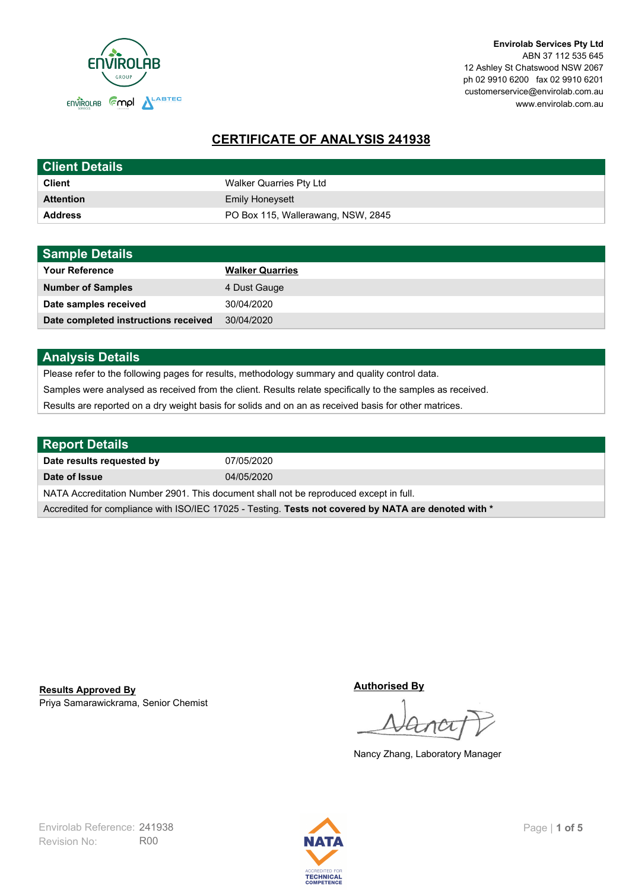

**Envirolab Services Pty Ltd** ABN 37 112 535 645 12 Ashley St Chatswood NSW 2067 ph 02 9910 6200 fax 02 9910 6201 customerservice@envirolab.com.au www.envirolab.com.au

# **CERTIFICATE OF ANALYSIS 241938**

| <b>Client Details</b> |                                    |
|-----------------------|------------------------------------|
| <b>Client</b>         | Walker Quarries Pty Ltd            |
| <b>Attention</b>      | <b>Emily Honeysett</b>             |
| <b>Address</b>        | PO Box 115, Wallerawang, NSW, 2845 |

| <b>Sample Details</b>                |                        |
|--------------------------------------|------------------------|
| <b>Your Reference</b>                | <b>Walker Quarries</b> |
| <b>Number of Samples</b>             | 4 Dust Gauge           |
| Date samples received                | 30/04/2020             |
| Date completed instructions received | 30/04/2020             |

## **Analysis Details**

Please refer to the following pages for results, methodology summary and quality control data.

Samples were analysed as received from the client. Results relate specifically to the samples as received.

Results are reported on a dry weight basis for solids and on an as received basis for other matrices.

| <b>Report Details</b>                                                                                |            |  |
|------------------------------------------------------------------------------------------------------|------------|--|
| Date results requested by                                                                            | 07/05/2020 |  |
| Date of Issue                                                                                        | 04/05/2020 |  |
| NATA Accreditation Number 2901. This document shall not be reproduced except in full.                |            |  |
| Accredited for compliance with ISO/IEC 17025 - Testing. Tests not covered by NATA are denoted with * |            |  |

Priya Samarawickrama, Senior Chemist **Results Approved By**

**Authorised By**

Nancy Zhang, Laboratory Manager

Revision No: R00 Envirolab Reference: 241938 Page | 1 of 5

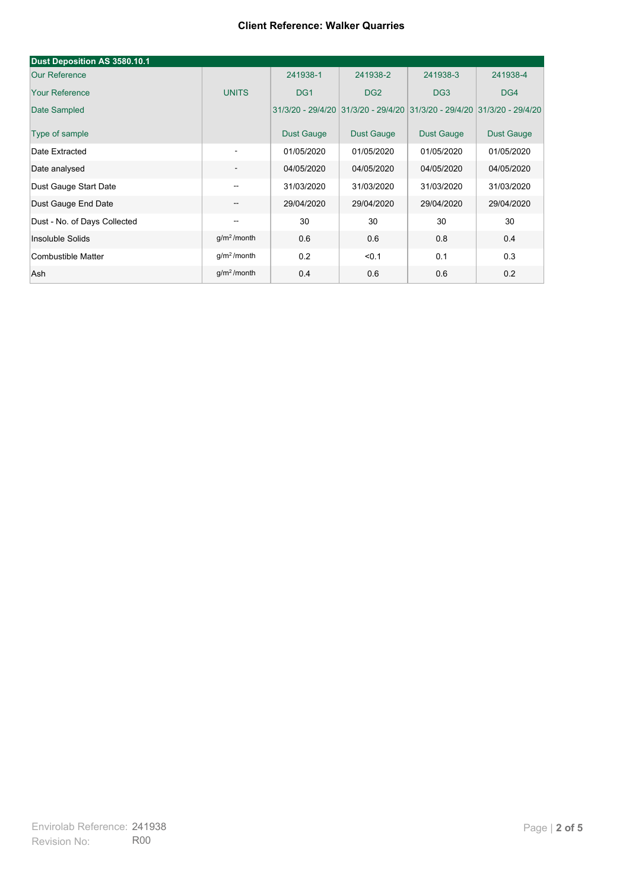| Dust Deposition AS 3580.10.1 |                          |                   |                                                                         |                   |                   |
|------------------------------|--------------------------|-------------------|-------------------------------------------------------------------------|-------------------|-------------------|
| <b>Our Reference</b>         |                          | 241938-1          | 241938-2                                                                | 241938-3          | 241938-4          |
| <b>Your Reference</b>        | <b>UNITS</b>             | DG <sub>1</sub>   | DG <sub>2</sub>                                                         | DG <sub>3</sub>   | DG4               |
| Date Sampled                 |                          |                   | 31/3/20 - 29/4/20 31/3/20 - 29/4/20 31/3/20 - 29/4/20 31/3/20 - 29/4/20 |                   |                   |
| Type of sample               |                          | <b>Dust Gauge</b> | Dust Gauge                                                              | <b>Dust Gauge</b> | <b>Dust Gauge</b> |
| Date Extracted               | $\overline{\phantom{a}}$ | 01/05/2020        | 01/05/2020                                                              | 01/05/2020        | 01/05/2020        |
| Date analysed                |                          | 04/05/2020        | 04/05/2020                                                              | 04/05/2020        | 04/05/2020        |
| Dust Gauge Start Date        | --                       | 31/03/2020        | 31/03/2020                                                              | 31/03/2020        | 31/03/2020        |
| Dust Gauge End Date          | --                       | 29/04/2020        | 29/04/2020                                                              | 29/04/2020        | 29/04/2020        |
| Dust - No. of Days Collected | --                       | 30                | 30                                                                      | 30                | 30                |
| Insoluble Solids             | g/m <sup>2</sup> /month  | 0.6               | 0.6                                                                     | 0.8               | 0.4               |
| Combustible Matter           | g/m <sup>2</sup> /month  | 0.2               | < 0.1                                                                   | 0.1               | 0.3               |
| Ash                          | g/m <sup>2</sup> /month  | 0.4               | 0.6                                                                     | 0.6               | 0.2               |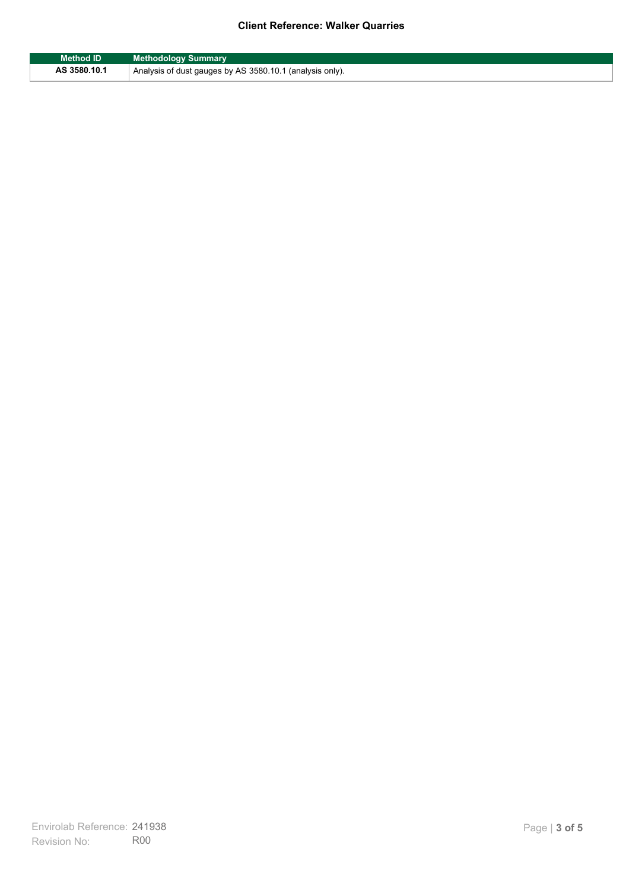| <b>Method ID</b> | <b>Methodology Summary</b>                               |
|------------------|----------------------------------------------------------|
| AS 3580.10.1     | Analysis of dust gauges by AS 3580.10.1 (analysis only). |

F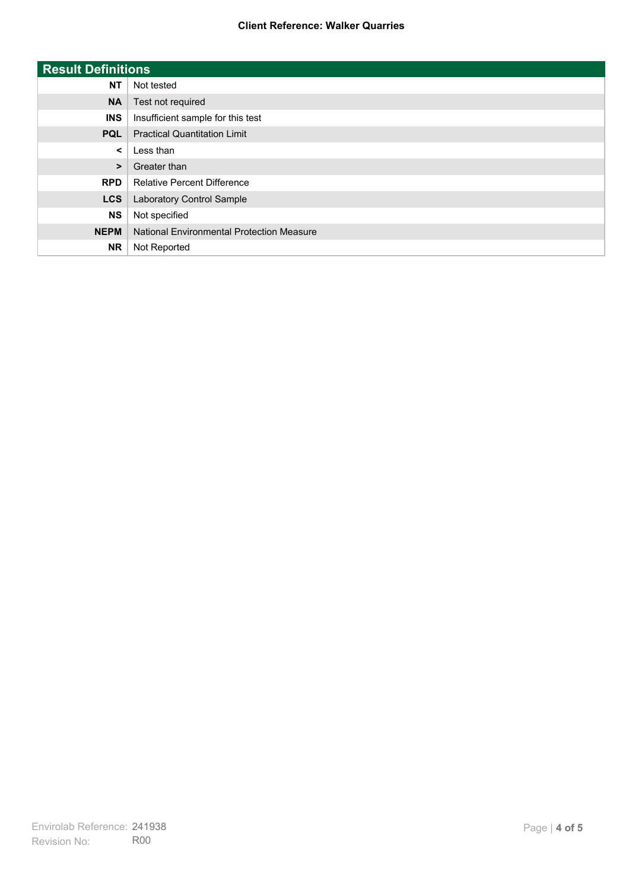| <b>Result Definitions</b> |                                           |
|---------------------------|-------------------------------------------|
| <b>NT</b>                 | Not tested                                |
| <b>NA</b>                 | Test not required                         |
| <b>INS</b>                | Insufficient sample for this test         |
| <b>PQL</b>                | <b>Practical Quantitation Limit</b>       |
| $\prec$                   | Less than                                 |
| $\geq$                    | Greater than                              |
| <b>RPD</b>                | <b>Relative Percent Difference</b>        |
| <b>LCS</b>                | Laboratory Control Sample                 |
| <b>NS</b>                 | Not specified                             |
| <b>NEPM</b>               | National Environmental Protection Measure |
| <b>NR</b>                 | Not Reported                              |